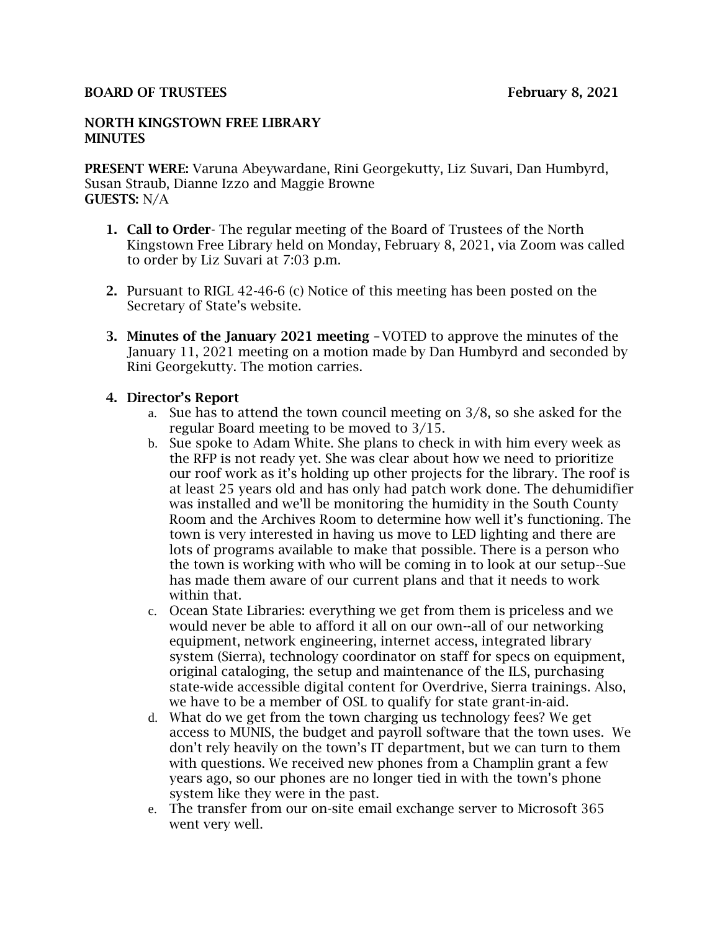#### BOARD OF TRUSTEES February 8, 2021

#### NORTH KINGSTOWN FREE LIBRARY **MINUTES**

PRESENT WERE: Varuna Abeywardane, Rini Georgekutty, Liz Suvari, Dan Humbyrd, Susan Straub, Dianne Izzo and Maggie Browne GUESTS: N/A

- 1. Call to Order- The regular meeting of the Board of Trustees of the North Kingstown Free Library held on Monday, February 8, 2021, via Zoom was called to order by Liz Suvari at 7:03 p.m.
- 2. Pursuant to RIGL 42-46-6 (c) Notice of this meeting has been posted on the Secretary of State's website.
- 3. Minutes of the January 2021 meeting –VOTED to approve the minutes of the January 11, 2021 meeting on a motion made by Dan Humbyrd and seconded by Rini Georgekutty. The motion carries.

## 4. Director's Report

- a. Sue has to attend the town council meeting on 3/8, so she asked for the regular Board meeting to be moved to 3/15.
- b. Sue spoke to Adam White. She plans to check in with him every week as the RFP is not ready yet. She was clear about how we need to prioritize our roof work as it's holding up other projects for the library. The roof is at least 25 years old and has only had patch work done. The dehumidifier was installed and we'll be monitoring the humidity in the South County Room and the Archives Room to determine how well it's functioning. The town is very interested in having us move to LED lighting and there are lots of programs available to make that possible. There is a person who the town is working with who will be coming in to look at our setup--Sue has made them aware of our current plans and that it needs to work within that.
- c. Ocean State Libraries: everything we get from them is priceless and we would never be able to afford it all on our own--all of our networking equipment, network engineering, internet access, integrated library system (Sierra), technology coordinator on staff for specs on equipment, original cataloging, the setup and maintenance of the ILS, purchasing state-wide accessible digital content for Overdrive, Sierra trainings. Also, we have to be a member of OSL to qualify for state grant-in-aid.
- d. What do we get from the town charging us technology fees? We get access to MUNIS, the budget and payroll software that the town uses. We don't rely heavily on the town's IT department, but we can turn to them with questions. We received new phones from a Champlin grant a few years ago, so our phones are no longer tied in with the town's phone system like they were in the past.
- e. The transfer from our on-site email exchange server to Microsoft 365 went very well.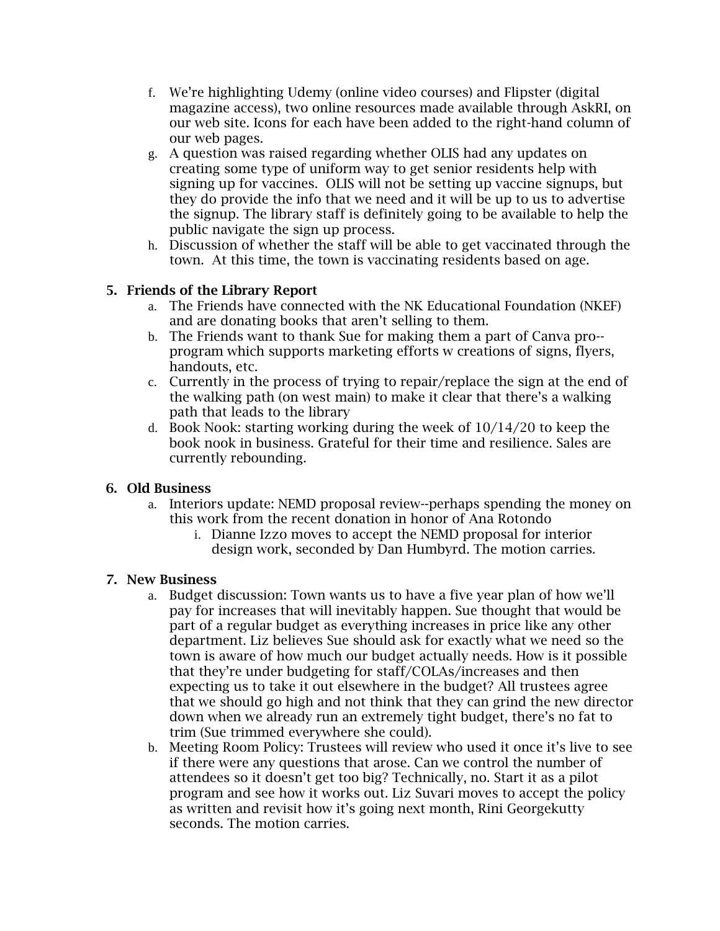- f. We're highlighting Udemy (online video courses) and Flipster (digital magazine access), two online resources made available through AskRI, on our web site. Icons for each have been added to the right-hand column of our web pages.
- g. A question was raised regarding whether OLIS had any updates on creating some type of uniform way to get senior residents help with signing up for vaccines. OLIS will not be setting up vaccine signups, but they do provide the info that we need and it will be up to us to advertise the signup. The library staff is definitely going to be available to help the public navigate the sign up process.
- h. Discussion of whether the staff will be able to get vaccinated through the town. At this time, the town is vaccinating residents based on age.

# 5. Friends of the Library Report

- a. The Friends have connected with the NK Educational Foundation (NKEF) and are donating books that aren't selling to them.
- b. The Friends want to thank Sue for making them a part of Canva pro- program which supports marketing efforts w creations of signs, flyers, handouts, etc.
- c. Currently in the process of trying to repair/replace the sign at the end of the walking path (on west main) to make it clear that there's a walking path that leads to the library
- d. Book Nook: starting working during the week of 10/14/20 to keep the book nook in business. Grateful for their time and resilience. Sales are currently rebounding.

# 6. Old Business

- a. Interiors update: NEMD proposal review--perhaps spending the money on this work from the recent donation in honor of Ana Rotondo
	- i. Dianne Izzo moves to accept the NEMD proposal for interior design work, seconded by Dan Humbyrd. The motion carries.

# 7. New Business

- a. Budget discussion: Town wants us to have a five year plan of how we'll pay for increases that will inevitably happen. Sue thought that would be part of a regular budget as everything increases in price like any other department. Liz believes Sue should ask for exactly what we need so the town is aware of how much our budget actually needs. How is it possible that they're under budgeting for staff/COLAs/increases and then expecting us to take it out elsewhere in the budget? All trustees agree that we should go high and not think that they can grind the new director down when we already run an extremely tight budget, there's no fat to trim (Sue trimmed everywhere she could).
- b. Meeting Room Policy: Trustees will review who used it once it's live to see if there were any questions that arose. Can we control the number of attendees so it doesn't get too big? Technically, no. Start it as a pilot program and see how it works out. Liz Suvari moves to accept the policy as written and revisit how it's going next month, Rini Georgekutty seconds. The motion carries.